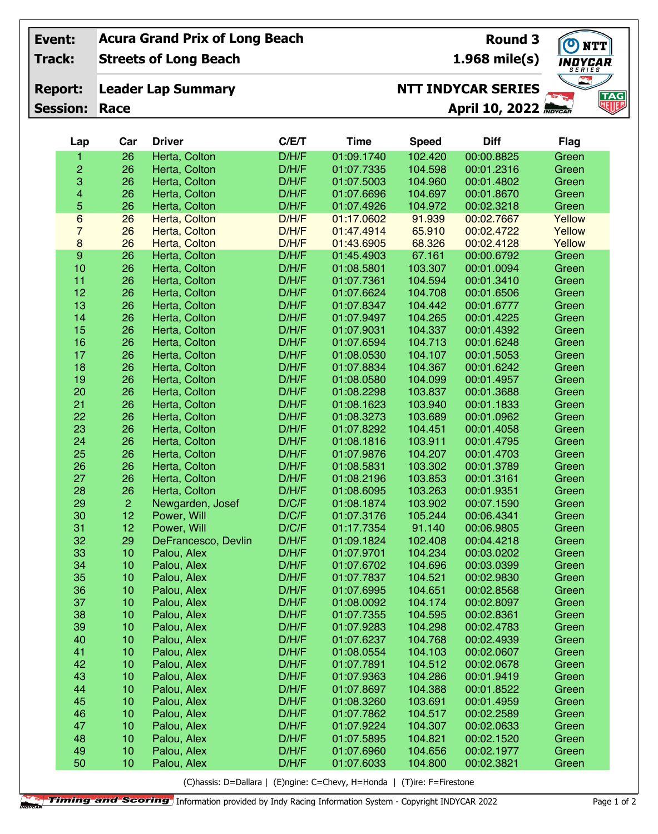| Event:                            |                         |                                                        | <b>Acura Grand Prix of Long Beach</b> |       | O NTT         |               |                                 |             |  |
|-----------------------------------|-------------------------|--------------------------------------------------------|---------------------------------------|-------|---------------|---------------|---------------------------------|-------------|--|
| <b>Track:</b>                     |                         | <b>Streets of Long Beach</b>                           |                                       |       |               | 1.968 mile(s) | <i><b>INDYCAR</b></i><br>SERIES |             |  |
|                                   |                         | <b>NTT INDYCAR SERIES</b><br><b>Leader Lap Summary</b> |                                       |       |               |               |                                 |             |  |
| <b>Report:</b><br><b>Session:</b> |                         |                                                        |                                       |       | $\frac{1}{2}$ | TAG<br>咽服     |                                 |             |  |
|                                   |                         | Race                                                   |                                       |       |               |               | <b>April 10, 2022 MOVELH</b>    |             |  |
|                                   | Lap                     | Car                                                    | <b>Driver</b>                         | C/E/T | <b>Time</b>   | <b>Speed</b>  | <b>Diff</b>                     | <b>Flag</b> |  |
|                                   | 1                       | 26                                                     | Herta, Colton                         | D/H/F | 01:09.1740    | 102.420       | 00:00.8825                      | Green       |  |
|                                   | $\overline{c}$          | 26                                                     | Herta, Colton                         | D/H/F | 01:07.7335    | 104.598       | 00:01.2316                      | Green       |  |
|                                   | 3                       | 26                                                     | Herta, Colton                         | D/H/F | 01:07.5003    | 104.960       | 00:01.4802                      | Green       |  |
|                                   | $\overline{\mathbf{4}}$ | 26                                                     | Herta, Colton                         | D/H/F | 01:07.6696    | 104.697       | 00:01.8670                      | Green       |  |
|                                   | 5                       | 26                                                     | Herta, Colton                         | D/H/F | 01:07.4926    | 104.972       | 00:02.3218                      | Green       |  |
|                                   | $6\phantom{a}$          | 26                                                     | Herta, Colton                         | D/H/F | 01:17.0602    | 91.939        | 00:02.7667                      | Yellow      |  |
|                                   | $\overline{7}$          | 26                                                     | Herta, Colton                         | D/H/F | 01:47.4914    | 65.910        | 00:02.4722                      | Yellow      |  |
|                                   | $\bf 8$                 | 26                                                     | Herta, Colton                         | D/H/F | 01:43.6905    | 68.326        | 00:02.4128                      | Yellow      |  |
|                                   | $\boldsymbol{9}$        | 26                                                     | Herta, Colton                         | D/H/F | 01:45.4903    | 67.161        | 00:00.6792                      | Green       |  |
|                                   | 10                      | 26                                                     | Herta, Colton                         | D/H/F | 01:08.5801    | 103.307       | 00:01.0094                      | Green       |  |
|                                   | 11                      | 26                                                     | Herta, Colton                         | D/H/F | 01:07.7361    | 104.594       | 00:01.3410                      | Green       |  |
|                                   | 12                      | 26                                                     | Herta, Colton                         | D/H/F | 01:07.6624    | 104.708       | 00:01.6506                      | Green       |  |
|                                   | 13                      | 26                                                     | Herta, Colton                         | D/H/F | 01:07.8347    | 104.442       | 00:01.6777                      | Green       |  |
|                                   | 14                      | 26                                                     | Herta, Colton                         | D/H/F | 01:07.9497    | 104.265       | 00:01.4225                      | Green       |  |
|                                   | 15                      | 26                                                     | Herta, Colton                         | D/H/F | 01:07.9031    | 104.337       | 00:01.4392                      | Green       |  |
|                                   | 16                      | 26                                                     | Herta, Colton                         | D/H/F | 01:07.6594    | 104.713       | 00:01.6248                      | Green       |  |
|                                   | 17                      | 26                                                     | Herta, Colton                         | D/H/F | 01:08.0530    | 104.107       | 00:01.5053                      | Green       |  |
|                                   | 18                      | 26                                                     | Herta, Colton                         | D/H/F | 01:07.8834    | 104.367       | 00:01.6242                      | Green       |  |
|                                   | 19                      | 26                                                     | Herta, Colton                         | D/H/F | 01:08.0580    | 104.099       | 00:01.4957                      | Green       |  |
|                                   | 20                      | 26                                                     | Herta, Colton                         | D/H/F | 01:08.2298    | 103.837       | 00:01.3688                      | Green       |  |
|                                   | 21                      | 26                                                     | Herta, Colton                         | D/H/F | 01:08.1623    | 103.940       | 00:01.1833                      | Green       |  |
|                                   | 22                      | 26                                                     | Herta, Colton                         | D/H/F | 01:08.3273    | 103.689       | 00:01.0962                      | Green       |  |
|                                   | 23                      | 26                                                     | Herta, Colton                         | D/H/F | 01:07.8292    | 104.451       | 00:01.4058                      | Green       |  |
|                                   | 24                      | 26                                                     | Herta, Colton                         | D/H/F | 01:08.1816    | 103.911       | 00:01.4795                      | Green       |  |
|                                   | 25                      | 26                                                     | Herta, Colton                         | D/H/F | 01:07.9876    | 104.207       | 00:01.4703                      | Green       |  |
|                                   | 26                      | 26                                                     | Herta, Colton                         | D/H/F | 01:08.5831    | 103.302       | 00:01.3789                      | Green       |  |
|                                   | 27                      | 26                                                     | Herta, Colton                         | D/H/F | 01:08.2196    | 103.853       | 00:01.3161                      | Green       |  |
|                                   | 28                      | 26                                                     | Herta, Colton                         | D/H/F | 01:08.6095    | 103.263       | 00:01.9351                      | Green       |  |
|                                   | 29                      | $\overline{c}$                                         | Newgarden, Josef                      | D/C/F | 01:08.1874    | 103.902       | 00:07.1590                      | Green       |  |
|                                   | 30                      | 12                                                     | Power, Will                           | D/C/F | 01:07.3176    | 105.244       | 00:06.4341                      | Green       |  |
|                                   | 31                      | 12                                                     | Power, Will                           | D/C/F | 01:17.7354    | 91.140        | 00:06.9805                      | Green       |  |
|                                   | 32                      | 29                                                     | DeFrancesco, Devlin                   | D/H/F | 01:09.1824    | 102.408       | 00:04.4218                      | Green       |  |
|                                   | 33                      | 10                                                     | Palou, Alex                           | D/H/F | 01:07.9701    | 104.234       | 00:03.0202                      | Green       |  |
|                                   | 34                      | 10                                                     | Palou, Alex                           | D/H/F | 01:07.6702    | 104.696       | 00:03.0399                      | Green       |  |
|                                   | 35                      | 10                                                     | Palou, Alex                           | D/H/F | 01:07.7837    | 104.521       | 00:02.9830                      | Green       |  |
|                                   | 36                      | 10                                                     | Palou, Alex                           | D/H/F | 01:07.6995    | 104.651       | 00:02.8568                      | Green       |  |
|                                   | 37                      | 10                                                     | Palou, Alex                           | D/H/F | 01:08.0092    | 104.174       | 00:02.8097                      | Green       |  |
|                                   | 38                      | 10                                                     | Palou, Alex                           | D/H/F | 01:07.7355    | 104.595       | 00:02.8361                      | Green       |  |
|                                   | 39                      | 10                                                     | Palou, Alex                           | D/H/F | 01:07.9283    | 104.298       | 00:02.4783                      | Green       |  |
|                                   | 40                      | 10                                                     | Palou, Alex                           | D/H/F | 01:07.6237    | 104.768       | 00:02.4939                      | Green       |  |
|                                   | 41                      | 10                                                     | Palou, Alex                           | D/H/F | 01:08.0554    | 104.103       | 00:02.0607                      | Green       |  |
|                                   | 42                      | 10                                                     | Palou, Alex                           | D/H/F | 01:07.7891    | 104.512       | 00:02.0678                      | Green       |  |
|                                   | 43                      | 10                                                     | Palou, Alex                           | D/H/F | 01:07.9363    | 104.286       | 00:01.9419                      | Green       |  |
|                                   | 44                      | 10                                                     | Palou, Alex                           | D/H/F | 01:07.8697    | 104.388       | 00:01.8522                      | Green       |  |
|                                   | 45                      | 10                                                     | Palou, Alex                           | D/H/F | 01:08.3260    | 103.691       | 00:01.4959                      | Green       |  |
|                                   | 46                      | 10                                                     | Palou, Alex                           | D/H/F | 01:07.7862    | 104.517       | 00:02.2589                      | Green       |  |
|                                   | 47                      | 10                                                     | Palou, Alex                           | D/H/F | 01:07.9224    | 104.307       | 00:02.0633                      | Green       |  |
|                                   | 48                      | 10                                                     | Palou, Alex                           | D/H/F | 01:07.5895    | 104.821       | 00:02.1520                      | Green       |  |
|                                   | 49                      | 10                                                     | Palou, Alex                           | D/H/F | 01:07.6960    | 104.656       | 00:02.1977                      | Green       |  |
|                                   | 50                      | 10                                                     | Palou, Alex                           | D/H/F | 01:07.6033    | 104.800       | 00:02.3821                      | Green       |  |

(C)hassis: D=Dallara | (E)ngine: C=Chevy, H=Honda | (T)ire: F=Firestone